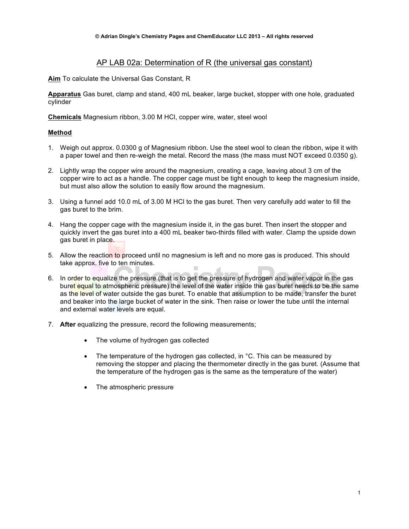## AP LAB 02a: Determination of R (the universal gas constant)

**Aim** To calculate the Universal Gas Constant, R

**Apparatus** Gas buret, clamp and stand, 400 mL beaker, large bucket, stopper with one hole, graduated cylinder

**Chemicals** Magnesium ribbon, 3.00 M HCl, copper wire, water, steel wool

## **Method**

- 1. Weigh out approx. 0.0300 g of Magnesium ribbon. Use the steel wool to clean the ribbon, wipe it with a paper towel and then re-weigh the metal. Record the mass (the mass must NOT exceed 0.0350 g).
- 2. Lightly wrap the copper wire around the magnesium, creating a cage, leaving about 3 cm of the copper wire to act as a handle. The copper cage must be tight enough to keep the magnesium inside, but must also allow the solution to easily flow around the magnesium.
- 3. Using a funnel add 10.0 mL of 3.00 M HCl to the gas buret. Then very carefully add water to fill the gas buret to the brim.
- 4. Hang the copper cage with the magnesium inside it, in the gas buret. Then insert the stopper and quickly invert the gas buret into a 400 mL beaker two-thirds filled with water. Clamp the upside down gas buret in place.
- 5. Allow the reaction to proceed until no magnesium is left and no more gas is produced. This should take approx. five to ten minutes.
- 6. In order to equalize the pressure (that is to get the pressure of hydrogen and water vapor in the gas buret equal to atmospheric pressure) the level of the water inside the gas buret needs to be the same as the level of water outside the gas buret. To enable that assumption to be made, transfer the buret and beaker into the large bucket of water in the sink. Then raise or lower the tube until the internal and external water levels are equal.
- 7. **After** equalizing the pressure, record the following measurements;
	- The volume of hydrogen gas collected
	- The temperature of the hydrogen gas collected, in °C. This can be measured by removing the stopper and placing the thermometer directly in the gas buret. (Assume that the temperature of the hydrogen gas is the same as the temperature of the water)
	- The atmospheric pressure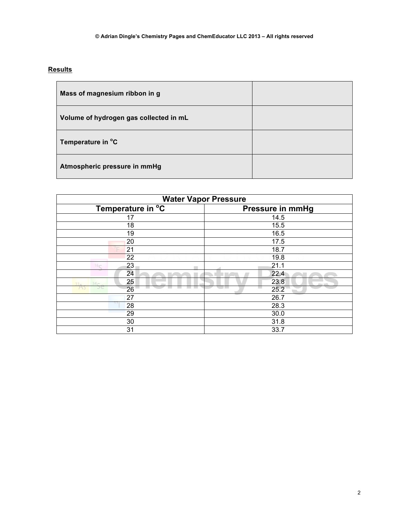## **Results**

| Mass of magnesium ribbon in g          |  |
|----------------------------------------|--|
| Volume of hydrogen gas collected in mL |  |
| Temperature in °C                      |  |
| Atmospheric pressure in mmHg           |  |

| <b>Water Vapor Pressure</b>     |                         |  |
|---------------------------------|-------------------------|--|
| Temperature in $\overline{C}$   | <b>Pressure in mmHg</b> |  |
| 17                              | 14.5                    |  |
| 18                              | 15.5                    |  |
| 19                              | 16.5                    |  |
| 20                              | 17.5                    |  |
| 21                              | 18.7                    |  |
| 22                              | 19.8                    |  |
| 23<br>16 <sub>C</sub>           | 21.1                    |  |
| 24                              | 22.4                    |  |
| 25<br>$34 -$<br>33 <sub>n</sub> | 23.8                    |  |
| 26                              | 25.2                    |  |
| 27                              | 26.7                    |  |
| DЭ<br>28                        | 28.3                    |  |
| 29                              | 30.0                    |  |
| 30                              | 31.8                    |  |
| 31                              | 33.7                    |  |